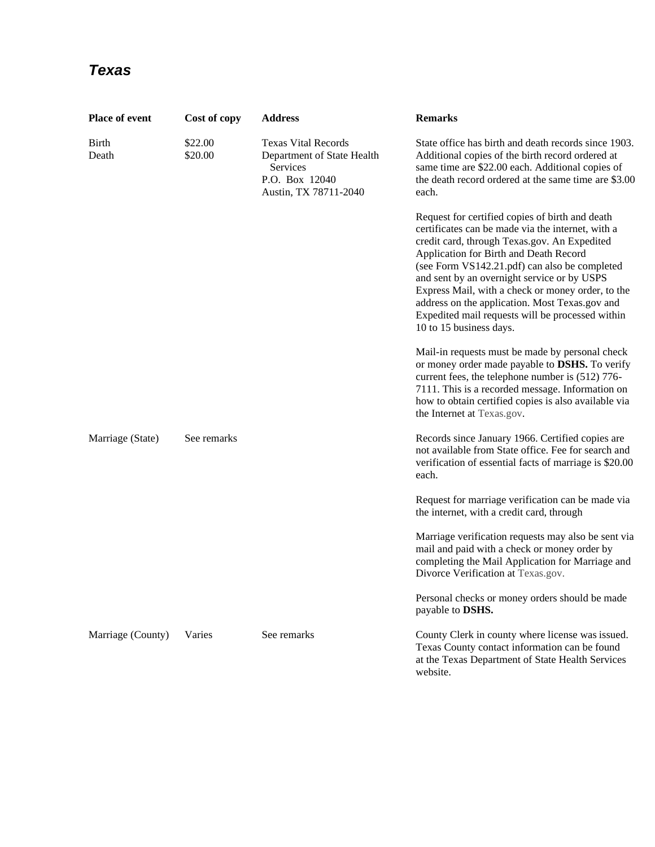## *Texas*

| <b>Place of event</b> | Cost of copy       | <b>Address</b>                                                                                                  | <b>Remarks</b>                                                                                                                                                                                                                                                                                                                                                                                                                                                                       |
|-----------------------|--------------------|-----------------------------------------------------------------------------------------------------------------|--------------------------------------------------------------------------------------------------------------------------------------------------------------------------------------------------------------------------------------------------------------------------------------------------------------------------------------------------------------------------------------------------------------------------------------------------------------------------------------|
| <b>Birth</b><br>Death | \$22.00<br>\$20.00 | <b>Texas Vital Records</b><br>Department of State Health<br>Services<br>P.O. Box 12040<br>Austin, TX 78711-2040 | State office has birth and death records since 1903.<br>Additional copies of the birth record ordered at<br>same time are \$22.00 each. Additional copies of<br>the death record ordered at the same time are \$3.00<br>each.                                                                                                                                                                                                                                                        |
|                       |                    |                                                                                                                 | Request for certified copies of birth and death<br>certificates can be made via the internet, with a<br>credit card, through Texas.gov. An Expedited<br>Application for Birth and Death Record<br>(see Form VS142.21.pdf) can also be completed<br>and sent by an overnight service or by USPS<br>Express Mail, with a check or money order, to the<br>address on the application. Most Texas.gov and<br>Expedited mail requests will be processed within<br>10 to 15 business days. |
|                       |                    |                                                                                                                 | Mail-in requests must be made by personal check<br>or money order made payable to DSHS. To verify<br>current fees, the telephone number is (512) 776-<br>7111. This is a recorded message. Information on<br>how to obtain certified copies is also available via<br>the Internet at Texas.gov.                                                                                                                                                                                      |
| Marriage (State)      | See remarks        |                                                                                                                 | Records since January 1966. Certified copies are<br>not available from State office. Fee for search and<br>verification of essential facts of marriage is \$20.00<br>each.                                                                                                                                                                                                                                                                                                           |
|                       |                    |                                                                                                                 | Request for marriage verification can be made via<br>the internet, with a credit card, through                                                                                                                                                                                                                                                                                                                                                                                       |
|                       |                    |                                                                                                                 | Marriage verification requests may also be sent via<br>mail and paid with a check or money order by<br>completing the Mail Application for Marriage and<br>Divorce Verification at Texas.gov.                                                                                                                                                                                                                                                                                        |
|                       |                    |                                                                                                                 | Personal checks or money orders should be made<br>payable to DSHS.                                                                                                                                                                                                                                                                                                                                                                                                                   |
| Marriage (County)     | Varies             | See remarks                                                                                                     | County Clerk in county where license was issued.<br>Texas County contact information can be found<br>at the Texas Department of State Health Services<br>website.                                                                                                                                                                                                                                                                                                                    |